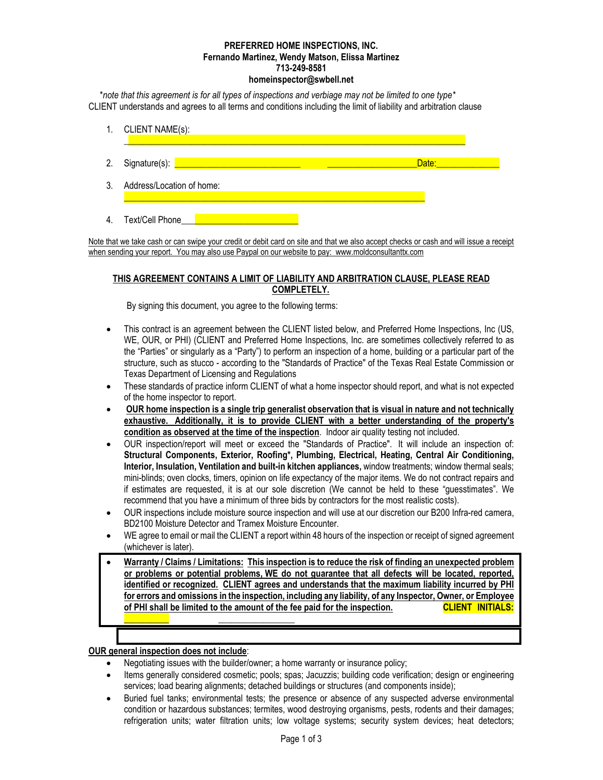#### **PREFERRED HOME INSPECTIONS, INC. Fernando Martinez, Wendy Matson, Elissa Martinez 713-249-8581 homeinspector@swbell.net**

\**note that this agreement is for all types of inspections and verbiage may not be limited to one type\** CLIENT understands and agrees to all terms and conditions including the limit of liability and arbitration clause



Note that we take cash or can swipe your credit or debit card on site and that we also accept checks or cash and will issue a receipt when sending your report. You may also use Paypal on our website to pay: www.moldconsultanttx.com

# **THIS AGREEMENT CONTAINS A LIMIT OF LIABILITY AND ARBITRATION CLAUSE, PLEASE READ COMPLETELY.**

By signing this document, you agree to the following terms:

- This contract is an agreement between the CLIENT listed below, and Preferred Home Inspections, Inc (US, WE, OUR, or PHI) (CLIENT and Preferred Home Inspections, Inc. are sometimes collectively referred to as the "Parties" or singularly as a "Party") to perform an inspection of a home, building or a particular part of the structure, such as stucco - according to the "Standards of Practice" of the Texas Real Estate Commission or Texas Department of Licensing and Regulations
- These standards of practice inform CLIENT of what a home inspector should report, and what is not expected of the home inspector to report.
- **OUR home inspection is a single trip generalist observation that is visual in nature and not technically exhaustive. Additionally, it is to provide CLIENT with a better understanding of the property's condition as observed at the time of the inspection**. Indoor air quality testing not included.
- OUR inspection/report will meet or exceed the "Standards of Practice". It will include an inspection of: **Structural Components, Exterior, Roofing\*, Plumbing, Electrical, Heating, Central Air Conditioning, Interior, Insulation, Ventilation and built-in kitchen appliances,** window treatments; window thermal seals; mini-blinds; oven clocks, timers, opinion on life expectancy of the major items. We do not contract repairs and if estimates are requested, it is at our sole discretion (We cannot be held to these "guesstimates". We recommend that you have a minimum of three bids by contractors for the most realistic costs).
- OUR inspections include moisture source inspection and will use at our discretion our B200 Infra-red camera, BD2100 Moisture Detector and Tramex Moisture Encounter.
- WE agree to email or mail the CLIENT a report within 48 hours of the inspection or receipt of signed agreement (whichever is later).
- **Warranty / Claims / Limitations: This inspection is to reduce the risk of finding an unexpected problem or problems or potential problems, WE do not guarantee that all defects will be located, reported, identified or recognized. CLIENT agrees and understands that the maximum liability incurred by PHI for errors and omissions in the inspection, including any liability, of any Inspector, Owner, or Employee of PHI shall be limited to the amount of the fee paid for the inspection. CLIENT INITIALS:**

### **OUR general inspection does not include**:

**\_\_\_\_\_\_\_\_\_\_ \_\_\_\_\_\_\_\_\_\_\_\_\_\_\_\_\_**

- Negotiating issues with the builder/owner: a home warranty or insurance policy;
- Items generally considered cosmetic; pools; spas; Jacuzzis; building code verification; design or engineering services; load bearing alignments; detached buildings or structures (and components inside);
- Buried fuel tanks; environmental tests; the presence or absence of any suspected adverse environmental condition or hazardous substances; termites, wood destroying organisms, pests, rodents and their damages; refrigeration units; water filtration units; low voltage systems; security system devices; heat detectors;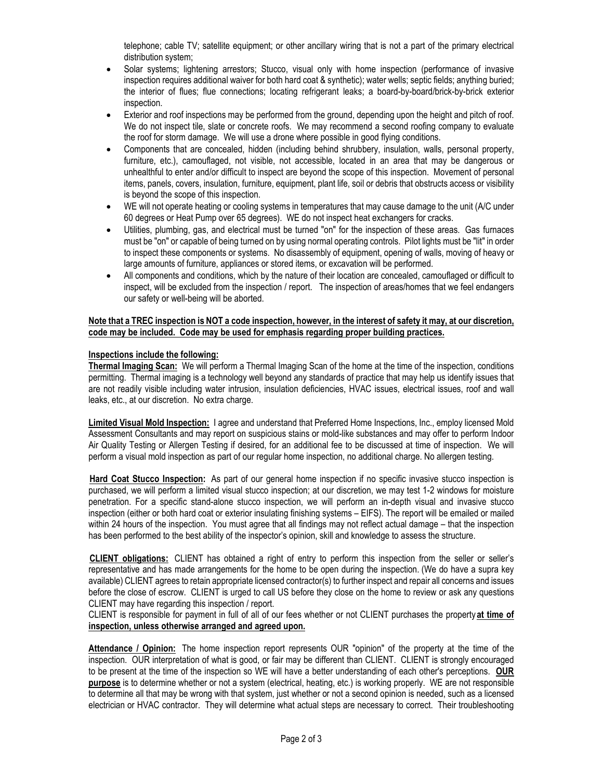telephone; cable TV; satellite equipment; or other ancillary wiring that is not a part of the primary electrical distribution system;

- Solar systems; lightening arrestors; Stucco, visual only with home inspection (performance of invasive inspection requires additional waiver for both hard coat & synthetic); water wells; septic fields; anything buried; the interior of flues; flue connections; locating refrigerant leaks; a board-by-board/brick-by-brick exterior inspection.
- Exterior and roof inspections may be performed from the ground, depending upon the height and pitch of roof. We do not inspect tile, slate or concrete roofs. We may recommend a second roofing company to evaluate the roof for storm damage. We will use a drone where possible in good flying conditions.
- Components that are concealed, hidden (including behind shrubbery, insulation, walls, personal property, furniture, etc.), camouflaged, not visible, not accessible, located in an area that may be dangerous or unhealthful to enter and/or difficult to inspect are beyond the scope of this inspection. Movement of personal items, panels, covers, insulation, furniture, equipment, plant life, soil or debris that obstructs access or visibility is beyond the scope of this inspection.
- WE will not operate heating or cooling systems in temperatures that may cause damage to the unit (A/C under 60 degrees or Heat Pump over 65 degrees). WE do not inspect heat exchangers for cracks.
- Utilities, plumbing, gas, and electrical must be turned "on" for the inspection of these areas. Gas furnaces must be "on" or capable of being turned on by using normal operating controls. Pilot lights must be "lit" in order to inspect these components or systems. No disassembly of equipment, opening of walls, moving of heavy or large amounts of furniture, appliances or stored items, or excavation will be performed.
- All components and conditions, which by the nature of their location are concealed, camouflaged or difficult to inspect, will be excluded from the inspection / report. The inspection of areas/homes that we feel endangers our safety or well-being will be aborted.

### **Note that a TREC inspection is NOT a code inspection, however, in the interest of safety it may, at our discretion, code may be included. Code may be used for emphasis regarding proper building practices.**

# **Inspections include the following:**

**Thermal Imaging Scan:** We will perform a Thermal Imaging Scan of the home at the time of the inspection, conditions permitting. Thermal imaging is a technology well beyond any standards of practice that may help us identify issues that are not readily visible including water intrusion, insulation deficiencies, HVAC issues, electrical issues, roof and wall leaks, etc., at our discretion. No extra charge.

**Limited Visual Mold Inspection:** I agree and understand that Preferred Home Inspections, Inc., employ licensed Mold Assessment Consultants and may report on suspicious stains or mold-like substances and may offer to perform Indoor Air Quality Testing or Allergen Testing if desired, for an additional fee to be discussed at time of inspection. We will perform a visual mold inspection as part of our regular home inspection, no additional charge. No allergen testing.

**Hard Coat Stucco Inspection:** As part of our general home inspection if no specific invasive stucco inspection is purchased, we will perform a limited visual stucco inspection; at our discretion, we may test 1-2 windows for moisture penetration. For a specific stand-alone stucco inspection, we will perform an in-depth visual and invasive stucco inspection (either or both hard coat or exterior insulating finishing systems – EIFS). The report will be emailed or mailed within 24 hours of the inspection. You must agree that all findings may not reflect actual damage – that the inspection has been performed to the best ability of the inspector's opinion, skill and knowledge to assess the structure.

**CLIENT obligations:** CLIENT has obtained a right of entry to perform this inspection from the seller or seller's representative and has made arrangements for the home to be open during the inspection. (We do have a supra key available) CLIENT agrees to retain appropriate licensed contractor(s) to further inspect and repair all concerns and issues before the close of escrow. CLIENT is urged to call US before they close on the home to review or ask any questions CLIENT may have regarding this inspection / report.

CLIENT is responsible for payment in full of all of our fees whether or not CLIENT purchases the property **at time of inspection, unless otherwise arranged and agreed upon.**

**Attendance / Opinion:** The home inspection report represents OUR "opinion" of the property at the time of the inspection. OUR interpretation of what is good, or fair may be different than CLIENT. CLIENT is strongly encouraged to be present at the time of the inspection so WE will have a better understanding of each other's perceptions. **OUR purpose** is to determine whether or not a system (electrical, heating, etc.) is working properly. WE are not responsible to determine all that may be wrong with that system, just whether or not a second opinion is needed, such as a licensed electrician or HVAC contractor. They will determine what actual steps are necessary to correct. Their troubleshooting